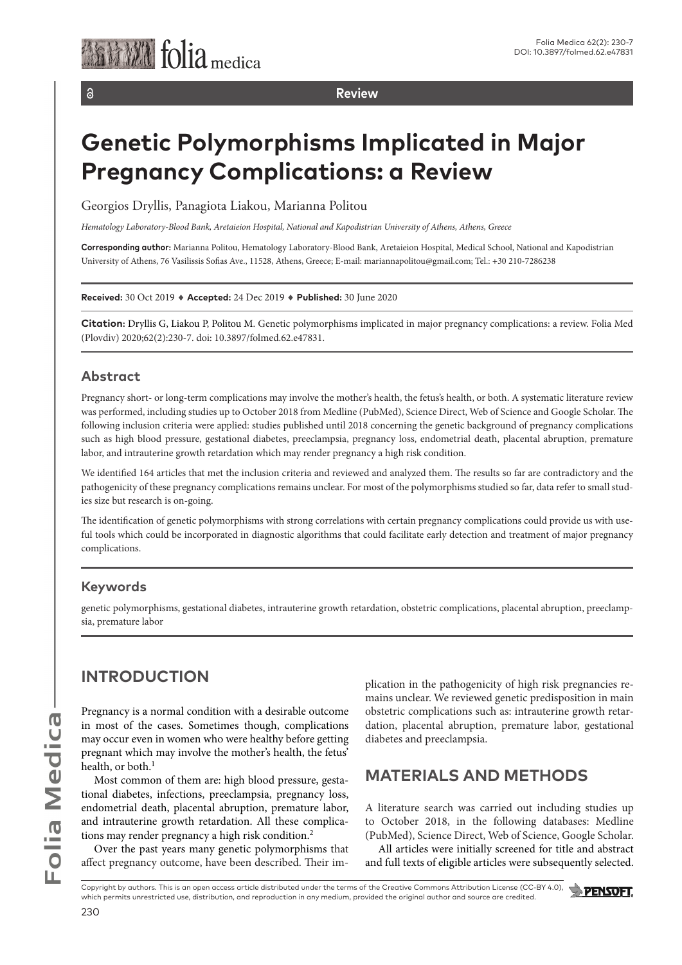**Review**

# **Genetic Polymorphisms Implicated in Major Pregnancy Complications: a Review**

Georgios Dryllis, Panagiota Liakou, Marianna Politou

*Hematology Laboratory-Blood Bank, Aretaieion Hospital, National and Kapodistrian University of Athens, Athens, Greece*

**Corresponding author:** Marianna Politou, Hematology Laboratory-Blood Bank, Aretaieion Hospital, Medical School, National and Kapodistrian University of Athens, 76 Vasilissis Sofias Ave., 11528, Athens, Greece; E-mail: mariannapolitou@gmail.com; Tel.: +30 210-7286238

**Received:** 30 Oct 2019 ♦ **Accepted:** 24 Dec 2019 ♦ **Published:** 30 June 2020

**Citation:** Dryllis G, Liakou P, Politou M. Genetic polymorphisms implicated in major pregnancy complications: a review. Folia Med (Plovdiv) 2020;62(2):230-7. doi: 10.3897/folmed.62.e47831.

### **Abstract**

 $\partial$ 

Pregnancy short- or long-term complications may involve the mother's health, the fetus's health, or both. A systematic literature review was performed, including studies up to October 2018 from Medline (PubMed), Science Direct, Web of Science and Google Scholar. The following inclusion criteria were applied: studies published until 2018 concerning the genetic background of pregnancy complications such as high blood pressure, gestational diabetes, preeclampsia, pregnancy loss, endometrial death, placental abruption, premature labor, and intrauterine growth retardation which may render pregnancy a high risk condition.

We identified 164 articles that met the inclusion criteria and reviewed and analyzed them. The results so far are contradictory and the pathogenicity of these pregnancy complications remains unclear. For most of the polymorphisms studied so far, data refer to small studies size but research is on-going.

The identification of genetic polymorphisms with strong correlations with certain pregnancy complications could provide us with useful tools which could be incorporated in diagnostic algorithms that could facilitate early detection and treatment of major pregnancy complications.

#### **Keywords**

genetic polymorphisms, gestational diabetes, intrauterine growth retardation, obstetric complications, placental abruption, preeclampsia, premature labor

## **INTRODUCTION**

Pregnancy is a normal condition with a desirable outcome in most of the cases. Sometimes though, complications may occur even in women who were healthy before getting pregnant which may involve the mother's health, the fetus' health, or both.<sup>1</sup>

Most common of them are: high blood pressure, gestational diabetes, infections, preeclampsia, pregnancy loss, endometrial death, placental abruption, premature labor, and intrauterine growth retardation. All these complications may render pregnancy a high risk condition.2

Over the past years many genetic polymorphisms that affect pregnancy outcome, have been described. Their implication in the pathogenicity of high risk pregnancies remains unclear. We reviewed genetic predisposition in main obstetric complications such as: intrauterine growth retardation, placental abruption, premature labor, gestational diabetes and preeclampsia.

## **MATERIALS AND METHODS**

A literature search was carried out including studies up to October 2018, in the following databases: Medline (PubMed), Science Direct, Web of Science, Google Scholar.

All articles were initially screened for title and abstract and full texts of eligible articles were subsequently selected.

Copyright by authors. This is an open access article distributed under the terms of the Creative Commons Attribution License (CC-BY 4.0), which permits unrestricted use, distribution, and reproduction in any medium, provided the original author and source are credited.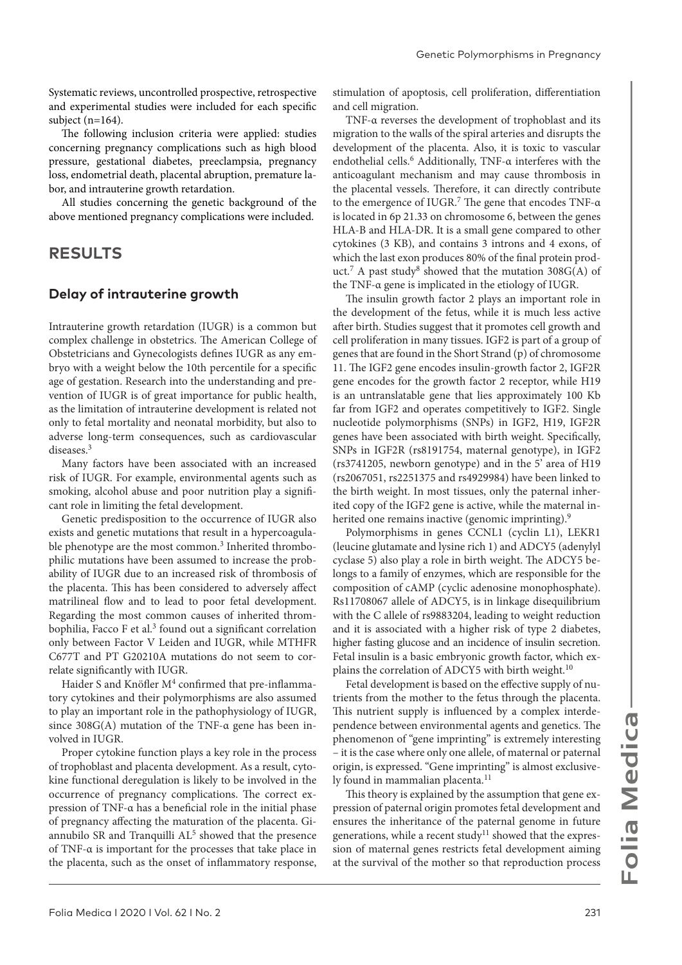Systematic reviews, uncontrolled prospective, retrospective and experimental studies were included for each specific subject (n=164).

The following inclusion criteria were applied: studies concerning pregnancy complications such as high blood pressure, gestational diabetes, preeclampsia, pregnancy loss, endometrial death, placental abruption, premature labor, and intrauterine growth retardation.

All studies concerning the genetic background of the above mentioned pregnancy complications were included.

### **RESULTS**

#### **Delay of intrauterine growth**

Intrauterine growth retardation (IUGR) is a common but complex challenge in obstetrics. The American College of Obstetricians and Gynecologists defines IUGR as any embryo with a weight below the 10th percentile for a specific age of gestation. Research into the understanding and prevention of IUGR is of great importance for public health, as the limitation of intrauterine development is related not only to fetal mortality and neonatal morbidity, but also to adverse long-term consequences, such as cardiovascular diseases.3

Many factors have been associated with an increased risk of IUGR. For example, environmental agents such as smoking, alcohol abuse and poor nutrition play a significant role in limiting the fetal development.

Genetic predisposition to the occurrence of IUGR also exists and genetic mutations that result in a hypercoagulable phenotype are the most common.<sup>3</sup> Inherited thrombophilic mutations have been assumed to increase the probability of IUGR due to an increased risk of thrombosis of the placenta. This has been considered to adversely affect matrilineal flow and to lead to poor fetal development. Regarding the most common causes of inherited thrombophilia, Facco F et al.<sup>3</sup> found out a significant correlation only between Factor V Leiden and IUGR, while MTHFR C677T and PT G20210A mutations do not seem to correlate significantly with IUGR.

Haider S and Knöfler M<sup>4</sup> confirmed that pre-inflammatory cytokines and their polymorphisms are also assumed to play an important role in the pathophysiology of IUGR, since 308G(A) mutation of the TNF-α gene has been involved in IUGR.

Proper cytokine function plays a key role in the process of trophoblast and placenta development. As a result, cytokine functional deregulation is likely to be involved in the occurrence of pregnancy complications. The correct expression of TNF-α has a beneficial role in the initial phase of pregnancy affecting the maturation of the placenta. Giannubilo SR and Tranquilli AL<sup>5</sup> showed that the presence of TNF-α is important for the processes that take place in the placenta, such as the onset of inflammatory response,

stimulation of apoptosis, cell proliferation, differentiation and cell migration.

TNF-α reverses the development of trophoblast and its migration to the walls of the spiral arteries and disrupts the development of the placenta. Also, it is toxic to vascular endothelial cells.6 Additionally, TNF-α interferes with the anticoagulant mechanism and may cause thrombosis in the placental vessels. Therefore, it can directly contribute to the emergence of IUGR.<sup>7</sup> The gene that encodes TNF- $\alpha$ is located in 6p 21.33 on chromosome 6, between the genes HLA-B and HLA-DR. It is a small gene compared to other cytokines (3 KB), and contains 3 introns and 4 exons, of which the last exon produces 80% of the final protein product.<sup>7</sup> A past study<sup>8</sup> showed that the mutation  $308G(A)$  of the TNF-α gene is implicated in the etiology of IUGR.

The insulin growth factor 2 plays an important role in the development of the fetus, while it is much less active after birth. Studies suggest that it promotes cell growth and cell proliferation in many tissues. IGF2 is part of a group of genes that are found in the Short Strand (p) of chromosome 11. The IGF2 gene encodes insulin-growth factor 2, IGF2R gene encodes for the growth factor 2 receptor, while H19 is an untranslatable gene that lies approximately 100 Kb far from IGF2 and operates competitively to IGF2. Single nucleotide polymorphisms (SNPs) in IGF2, H19, IGF2R genes have been associated with birth weight. Specifically, SNPs in IGF2R (rs8191754, maternal genotype), in IGF2 (rs3741205, newborn genotype) and in the 5' area of Η19 (rs2067051, rs2251375 and rs4929984) have been linked to the birth weight. In most tissues, only the paternal inherited copy of the IGF2 gene is active, while the maternal inherited one remains inactive (genomic imprinting).<sup>9</sup>

Polymorphisms in genes CCNL1 (cyclin L1), LEKR1 (leucine glutamate and lysine rich 1) and ADCY5 (adenylyl cyclase 5) also play a role in birth weight. The ADCY5 belongs to a family of enzymes, which are responsible for the composition of cAMP (cyclic adenosine monophosphate). Rs11708067 allele of ADCY5, is in linkage disequilibrium with the C allele of rs9883204, leading to weight reduction and it is associated with a higher risk of type 2 diabetes, higher fasting glucose and an incidence of insulin secretion. Fetal insulin is a basic embryonic growth factor, which explains the correlation of ADCY5 with birth weight.<sup>10</sup>

Fetal development is based on the effective supply of nutrients from the mother to the fetus through the placenta. This nutrient supply is influenced by a complex interdependence between environmental agents and genetics. The phenomenon of "gene imprinting" is extremely interesting – it is the case where only one allele, of maternal or paternal origin, is expressed. "Gene imprinting" is almost exclusively found in mammalian placenta.<sup>11</sup>

This theory is explained by the assumption that gene expression of paternal origin promotes fetal development and ensures the inheritance of the paternal genome in future generations, while a recent study<sup>11</sup> showed that the expression of maternal genes restricts fetal development aiming at the survival of the mother so that reproduction process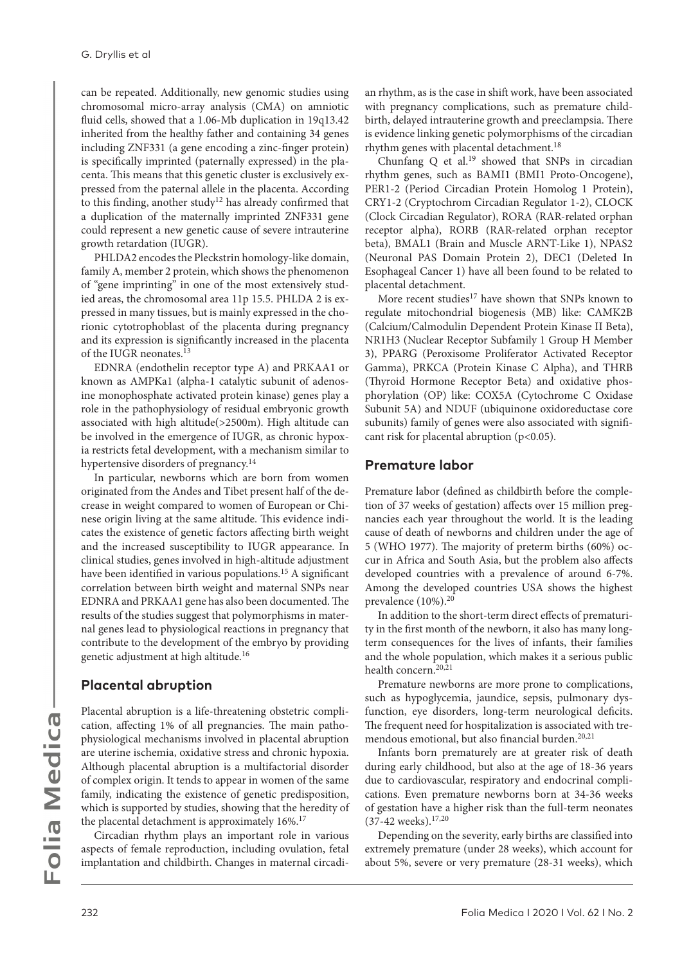can be repeated. Additionally, new genomic studies using chromosomal micro-array analysis (CMA) on amniotic fluid cells, showed that a 1.06-Mb duplication in 19q13.42 inherited from the healthy father and containing 34 genes including ZNF331 (a gene encoding a zinc-finger protein) is specifically imprinted (paternally expressed) in the placenta. This means that this genetic cluster is exclusively expressed from the paternal allele in the placenta. According to this finding, another study<sup>12</sup> has already confirmed that a duplication of the maternally imprinted ZNF331 gene could represent a new genetic cause of severe intrauterine growth retardation (IUGR).

PHLDA2 encodes the Pleckstrin homology-like domain, family A, member 2 protein, which shows the phenomenon of "gene imprinting" in one of the most extensively studied areas, the chromosomal area 11p 15.5. PHLDA 2 is expressed in many tissues, but is mainly expressed in the chorionic cytotrophoblast of the placenta during pregnancy and its expression is significantly increased in the placenta of the IUGR neonates.13

EDNRA (endothelin receptor type A) and PRKAA1 or known as AMPKa1 (alpha-1 catalytic subunit of adenosine monophosphate activated protein kinase) genes play a role in the pathophysiology of residual embryonic growth associated with high altitude(>2500m). High altitude can be involved in the emergence of IUGR, as chronic hypoxia restricts fetal development, with a mechanism similar to hypertensive disorders of pregnancy.<sup>14</sup>

In particular, newborns which are born from women originated from the Andes and Tibet present half of the decrease in weight compared to women of European or Chinese origin living at the same altitude. This evidence indicates the existence of genetic factors affecting birth weight and the increased susceptibility to IUGR appearance. In clinical studies, genes involved in high-altitude adjustment have been identified in various populations.<sup>15</sup> A significant correlation between birth weight and maternal SNPs near EDNRA and PRKAA1 gene has also been documented. The results of the studies suggest that polymorphisms in maternal genes lead to physiological reactions in pregnancy that contribute to the development of the embryo by providing genetic adjustment at high altitude.<sup>16</sup>

#### **Placental abruption**

Placental abruption is a life-threatening obstetric complication, affecting 1% of all pregnancies. The main pathophysiological mechanisms involved in placental abruption are uterine ischemia, oxidative stress and chronic hypoxia. Although placental abruption is a multifactorial disorder of complex origin. It tends to appear in women of the same family, indicating the existence of genetic predisposition, which is supported by studies, showing that the heredity of the placental detachment is approximately 16%.<sup>17</sup>

Circadian rhythm plays an important role in various aspects of female reproduction, including ovulation, fetal implantation and childbirth. Changes in maternal circadi-

an rhythm, as is the case in shift work, have been associated with pregnancy complications, such as premature childbirth, delayed intrauterine growth and preeclampsia. There is evidence linking genetic polymorphisms of the circadian rhythm genes with placental detachment.18

Chunfang Q et al.<sup>19</sup> showed that SNPs in circadian rhythm genes, such as BAMI1 (BMI1 Proto-Oncogene), PER1-2 (Period Circadian Protein Homolog 1 Protein), CRY1-2 (Cryptochrom Circadian Regulator 1-2), CLOCK (Clock Circadian Regulator), RORA (RAR-related orphan receptor alpha), RORB (RAR-related orphan receptor beta), BMAL1 (Brain and Muscle ARNT-Like 1), NPAS2 (Neuronal PAS Domain Protein 2), DEC1 (Deleted In Esophageal Cancer 1) have all been found to be related to placental detachment.

More recent studies<sup>17</sup> have shown that SNPs known to regulate mitochondrial biogenesis (MB) like: CAMK2B (Calcium/Calmodulin Dependent Protein Kinase II Beta), NR1H3 (Nuclear Receptor Subfamily 1 Group H Member 3), PPARG (Peroxisome Proliferator Activated Receptor Gamma), PRKCA (Protein Kinase C Alpha), and THRB (Thyroid Hormone Receptor Beta) and oxidative phosphorylation (OP) like: COX5A (Cytochrome C Oxidase Subunit 5A) and NDUF (ubiquinone oxidoreductase core subunits) family of genes were also associated with significant risk for placental abruption  $(p<0.05)$ .

#### **Premature labor**

Premature labor (defined as childbirth before the completion of 37 weeks of gestation) affects over 15 million pregnancies each year throughout the world. It is the leading cause of death of newborns and children under the age of 5 (WHO 1977). The majority of preterm births (60%) occur in Africa and South Asia, but the problem also affects developed countries with a prevalence of around 6-7%. Among the developed countries USA shows the highest prevalence (10%).<sup>20</sup>

In addition to the short-term direct effects of prematurity in the first month of the newborn, it also has many longterm consequences for the lives of infants, their families and the whole population, which makes it a serious public health concern.20,21

Premature newborns are more prone to complications, such as hypoglycemia, jaundice, sepsis, pulmonary dysfunction, eye disorders, long-term neurological deficits. The frequent need for hospitalization is associated with tremendous emotional, but also financial burden.<sup>20,21</sup>

Infants born prematurely are at greater risk of death during early childhood, but also at the age of 18-36 years due to cardiovascular, respiratory and endocrinal complications. Even premature newborns born at 34-36 weeks of gestation have a higher risk than the full-term neonates (37-42 weeks).17,20

Depending on the severity, early births are classified into extremely premature (under 28 weeks), which account for about 5%, severe or very premature (28-31 weeks), which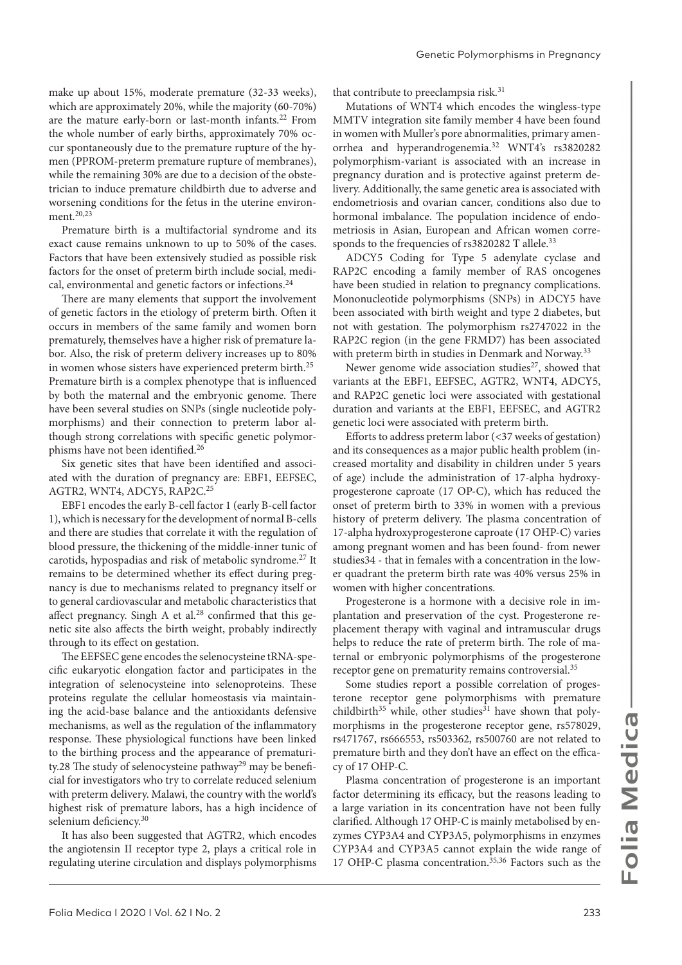make up about 15%, moderate premature (32-33 weeks), which are approximately 20%, while the majority (60-70%) are the mature early-born or last-month infants.22 From the whole number of early births, approximately 70% occur spontaneously due to the premature rupture of the hymen (PPROM-preterm premature rupture of membranes), while the remaining 30% are due to a decision of the obstetrician to induce premature childbirth due to adverse and worsening conditions for the fetus in the uterine environment.<sup>20,23</sup>

Premature birth is a multifactorial syndrome and its exact cause remains unknown to up to 50% of the cases. Factors that have been extensively studied as possible risk factors for the onset of preterm birth include social, medical, environmental and genetic factors or infections.24

There are many elements that support the involvement of genetic factors in the etiology of preterm birth. Often it occurs in members of the same family and women born prematurely, themselves have a higher risk of premature labor. Also, the risk of preterm delivery increases up to 80% in women whose sisters have experienced preterm birth.<sup>25</sup> Premature birth is a complex phenotype that is influenced by both the maternal and the embryonic genome. There have been several studies on SNPs (single nucleotide polymorphisms) and their connection to preterm labor although strong correlations with specific genetic polymorphisms have not been identified.26

Six genetic sites that have been identified and associated with the duration of pregnancy are: EBF1, EEFSEC, AGTR2, WNT4, ADCY5, RAP2C.25

EBF1 encodes the early B-cell factor 1 (early B-cell factor 1), which is necessary for the development of normal B-cells and there are studies that correlate it with the regulation of blood pressure, the thickening of the middle-inner tunic of carotids, hypospadias and risk of metabolic syndrome.27 It remains to be determined whether its effect during pregnancy is due to mechanisms related to pregnancy itself or to general cardiovascular and metabolic characteristics that affect pregnancy. Singh A et al.<sup>28</sup> confirmed that this genetic site also affects the birth weight, probably indirectly through to its effect on gestation.

The EEFSEC gene encodes the selenocysteine tRNA-specific eukaryotic elongation factor and participates in the integration of selenocysteine into selenoproteins. These proteins regulate the cellular homeostasis via maintaining the acid-base balance and the antioxidants defensive mechanisms, as well as the regulation of the inflammatory response. These physiological functions have been linked to the birthing process and the appearance of prematurity.28 The study of selenocysteine pathway<sup>29</sup> may be beneficial for investigators who try to correlate reduced selenium with preterm delivery. Malawi, the country with the world's highest risk of premature labors, has a high incidence of selenium deficiency.<sup>30</sup>

It has also been suggested that AGTR2, which encodes the angiotensin II receptor type 2, plays a critical role in regulating uterine circulation and displays polymorphisms that contribute to preeclampsia risk.<sup>31</sup>

Mutations of WNT4 which encodes the wingless-type MMTV integration site family member 4 have been found in women with Muller's pore abnormalities, primary amenorrhea and hyperandrogenemia.32 WNT4's rs3820282 polymorphism-variant is associated with an increase in pregnancy duration and is protective against preterm delivery. Additionally, the same genetic area is associated with endometriosis and ovarian cancer, conditions also due to hormonal imbalance. The population incidence of endometriosis in Asian, European and African women corresponds to the frequencies of rs3820282 T allele.<sup>33</sup>

ADCY5 Coding for Type 5 adenylate cyclase and RAP2C encoding a family member of RAS oncogenes have been studied in relation to pregnancy complications. Mononucleotide polymorphisms (SNPs) in ADCY5 have been associated with birth weight and type 2 diabetes, but not with gestation. The polymorphism rs2747022 in the RAP2C region (in the gene FRMD7) has been associated with preterm birth in studies in Denmark and Norway.<sup>33</sup>

Newer genome wide association studies $27$ , showed that variants at the EBF1, EEFSEC, AGTR2, WNT4, ADCY5, and RAP2C genetic loci were associated with gestational duration and variants at the EBF1, EEFSEC, and AGTR2 genetic loci were associated with preterm birth.

Efforts to address preterm labor (<37 weeks of gestation) and its consequences as a major public health problem (increased mortality and disability in children under 5 years of age) include the administration of 17-alpha hydroxyprogesterone caproate (17 ΟP-C), which has reduced the onset of preterm birth to 33% in women with a previous history of preterm delivery. The plasma concentration of 17-alpha hydroxyprogesterone caproate (17 OHP-C) varies among pregnant women and has been found- from newer studies34 - that in females with a concentration in the lower quadrant the preterm birth rate was 40% versus 25% in women with higher concentrations.

Progesterone is a hormone with a decisive role in implantation and preservation of the cyst. Progesterone replacement therapy with vaginal and intramuscular drugs helps to reduce the rate of preterm birth. The role of maternal or embryonic polymorphisms of the progesterone receptor gene on prematurity remains controversial.<sup>35</sup>

Some studies report a possible correlation of progesterone receptor gene polymorphisms with premature childbirth<sup>35</sup> while, other studies<sup>31</sup> have shown that polymorphisms in the progesterone receptor gene, rs578029, rs471767, rs666553, rs503362, rs500760 are not related to premature birth and they don't have an effect on the efficacy of 17 OHP-C.

Plasma concentration of progesterone is an important factor determining its efficacy, but the reasons leading to a large variation in its concentration have not been fully clarified. Although 17 OHP-C is mainly metabolised by enzymes CYP3A4 and CYP3A5, polymorphisms in enzymes CYP3A4 and CYP3A5 cannot explain the wide range of 17 OHP-C plasma concentration.<sup>35,36</sup> Factors such as the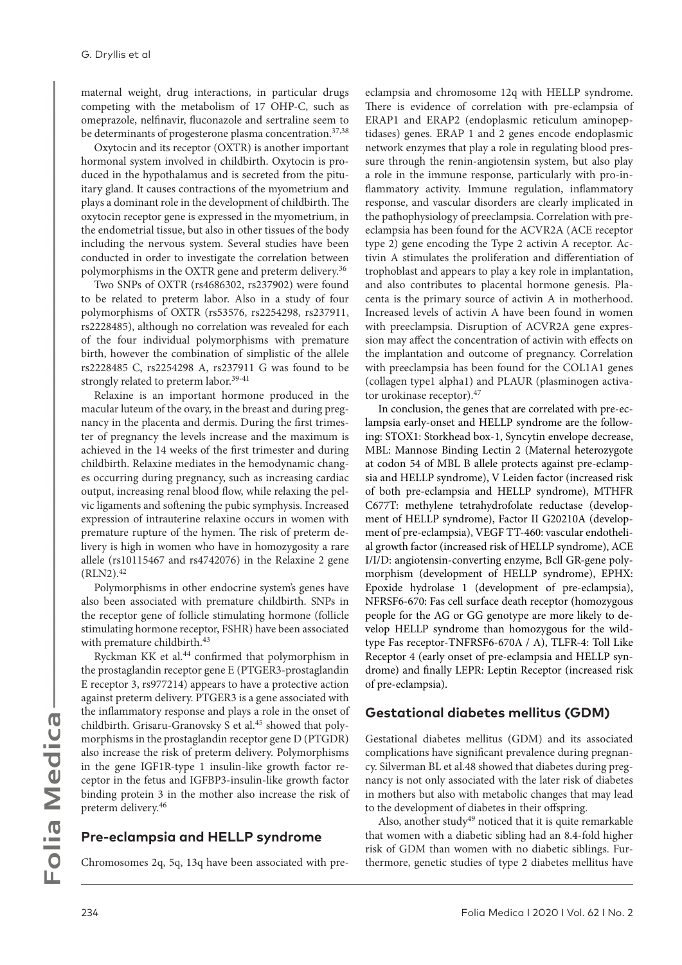maternal weight, drug interactions, in particular drugs competing with the metabolism of 17 OHP-C, such as omeprazole, nelfinavir, fluconazole and sertraline seem to be determinants of progesterone plasma concentration.<sup>37,38</sup>

Oxytocin and its receptor (OXTR) is another important hormonal system involved in childbirth. Oxytocin is produced in the hypothalamus and is secreted from the pituitary gland. It causes contractions of the myometrium and plays a dominant role in the development of childbirth. The oxytocin receptor gene is expressed in the myometrium, in the endometrial tissue, but also in other tissues of the body including the nervous system. Several studies have been conducted in order to investigate the correlation between polymorphisms in the OXTR gene and preterm delivery.<sup>36</sup>

Two SNPs of OXTR (rs4686302, rs237902) were found to be related to preterm labor. Also in a study of four polymorphisms of OXTR (rs53576, rs2254298, rs237911, rs2228485), although no correlation was revealed for each of the four individual polymorphisms with premature birth, however the combination of simplistic of the allele rs2228485 C, rs2254298 A, rs237911 G was found to be strongly related to preterm labor.<sup>39-41</sup>

Relaxine is an important hormone produced in the macular luteum of the ovary, in the breast and during pregnancy in the placenta and dermis. During the first trimester of pregnancy the levels increase and the maximum is achieved in the 14 weeks of the first trimester and during childbirth. Relaxine mediates in the hemodynamic changes occurring during pregnancy, such as increasing cardiac output, increasing renal blood flow, while relaxing the pelvic ligaments and softening the pubic symphysis. Increased expression of intrauterine relaxine occurs in women with premature rupture of the hymen. The risk of preterm delivery is high in women who have in homozygosity a rare allele (rs10115467 and rs4742076) in the Relaxine 2 gene  $(RLN2).42$ 

Polymorphisms in other endocrine system's genes have also been associated with premature childbirth. SNPs in the receptor gene of follicle stimulating hormone (follicle stimulating hormone receptor, FSHR) have been associated with premature childbirth.<sup>43</sup>

Ryckman KK et al.44 confirmed that polymorphism in the prostaglandin receptor gene E (PTGER3-prostaglandin E receptor 3, rs977214) appears to have a protective action against preterm delivery. PTGER3 is a gene associated with the inflammatory response and plays a role in the onset of childbirth. Grisaru-Granovsky S et al.<sup>45</sup> showed that polymorphisms in the prostaglandin receptor gene D (PTGDR) also increase the risk of preterm delivery. Polymorphisms in the gene IGF1R-type 1 insulin-like growth factor receptor in the fetus and IGFBP3-insulin-like growth factor binding protein 3 in the mother also increase the risk of preterm delivery.46

#### **Pre-eclampsia and HELLP syndrome**

Chromosomes 2q, 5q, 13q have been associated with pre-

eclampsia and chromosome 12q with HELLP syndrome. There is evidence of correlation with pre-eclampsia of ERAP1 and ERAP2 (endoplasmic reticulum aminopeptidases) genes. ERAP 1 and 2 genes encode endoplasmic network enzymes that play a role in regulating blood pressure through the renin-angiotensin system, but also play a role in the immune response, particularly with pro-inflammatory activity. Immune regulation, inflammatory response, and vascular disorders are clearly implicated in the pathophysiology of preeclampsia. Correlation with preeclampsia has been found for the ACVR2A (ACE receptor type 2) gene encoding the Type 2 activin A receptor. Activin A stimulates the proliferation and differentiation of trophoblast and appears to play a key role in implantation, and also contributes to placental hormone genesis. Placenta is the primary source of activin A in motherhood. Increased levels of activin A have been found in women with preeclampsia. Disruption of ACVR2A gene expression may affect the concentration of activin with effects on the implantation and outcome of pregnancy. Correlation with preeclampsia has been found for the COL1A1 genes (collagen type1 alpha1) and PLAUR (plasminogen activator urokinase receptor).47

In conclusion, the genes that are correlated with pre-eclampsia early-onset and HELLP syndrome are the following: STOX1: Storkhead box-1, Syncytin envelope decrease, MBL: Mannose Binding Lectin 2 (Maternal heterozygote at codon 54 of MBL B allele protects against pre-eclampsia and HELLP syndrome), V Leiden factor (increased risk of both pre-eclampsia and HELLP syndrome), MTHFR C677T: methylene tetrahydrofolate reductase (development of HELLP syndrome), Factor ΙΙ G20210A (development of pre-eclampsia), VEGF TT-460: vascular endothelial growth factor (increased risk of HELLP syndrome), ACE I/I/D: angiotensin-converting enzyme, Bcll GR-gene polymorphism (development of HELLP syndrome), EPHX: Epoxide hydrolase 1 (development of pre-eclampsia), NFRSF6-670: Fas cell surface death receptor (homozygous people for the AG or GG genotype are more likely to develop HELLP syndrome than homozygous for the wildtype Fas receptor-TNFRSF6-670A / A), TLFR-4: Toll Like Receptor 4 (early onset of pre-eclampsia and HELLP syndrome) and finally LEPR: Leptin Receptor (increased risk of pre-eclampsia).

#### **Gestational diabetes mellitus (GDM)**

Gestational diabetes mellitus (GDM) and its associated complications have significant prevalence during pregnancy. Silverman BL et al.48 showed that diabetes during pregnancy is not only associated with the later risk of diabetes in mothers but also with metabolic changes that may lead to the development of diabetes in their offspring.

Also, another study $49$  noticed that it is quite remarkable that women with a diabetic sibling had an 8.4-fold higher risk of GDM than women with no diabetic siblings. Furthermore, genetic studies of type 2 diabetes mellitus have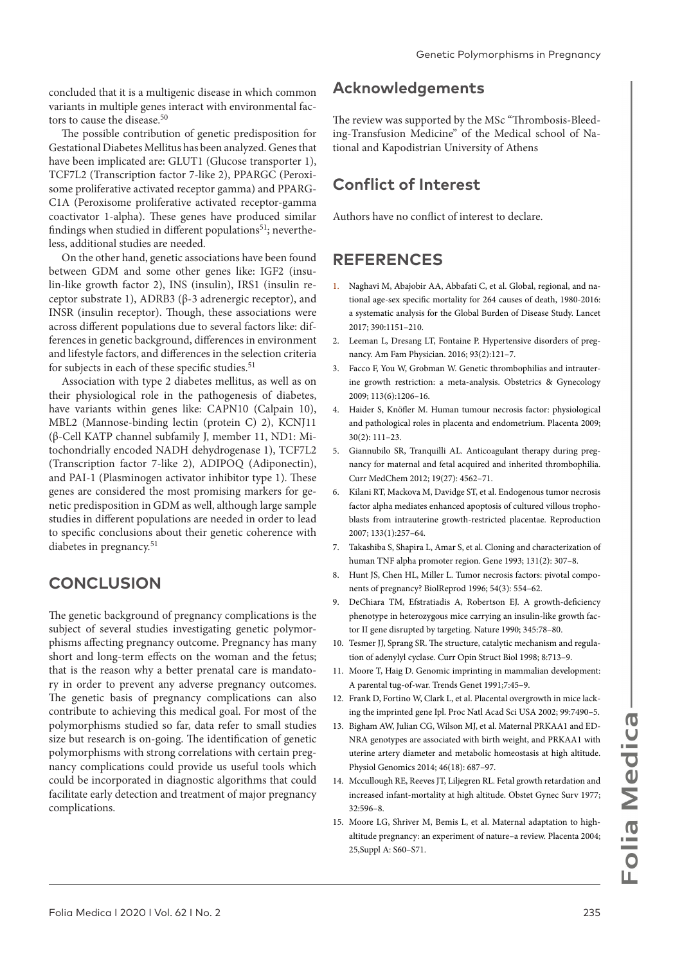concluded that it is a multigenic disease in which common variants in multiple genes interact with environmental factors to cause the disease.<sup>50</sup>

The possible contribution of genetic predisposition for Gestational Diabetes Mellitus has been analyzed. Genes that have been implicated are: GLUT1 (Glucose transporter 1), TCF7L2 (Transcription factor 7-like 2), PPARGC (Peroxisome proliferative activated receptor gamma) and PPARG-C1A (Peroxisome proliferative activated receptor-gamma coactivator 1-alpha). These genes have produced similar findings when studied in different populations<sup>51</sup>; nevertheless, additional studies are needed.

On the other hand, genetic associations have been found between GDM and some other genes like: IGF2 (insulin-like growth factor 2), INS (insulin), IRS1 (insulin receptor substrate 1), ADRB3 (β-3 adrenergic receptor), and INSR (insulin receptor). Though, these associations were across different populations due to several factors like: differences in genetic background, differences in environment and lifestyle factors, and differences in the selection criteria for subjects in each of these specific studies.<sup>51</sup>

Association with type 2 diabetes mellitus, as well as on their physiological role in the pathogenesis of diabetes, have variants within genes like: CAPN10 (Calpain 10), MBL2 (Mannose-binding lectin (protein C) 2), KCNJ11 (β-Cell KATP channel subfamily J, member 11, ND1: Mitochondrially encoded NADH dehydrogenase 1), TCF7L2 (Transcription factor 7-like 2), ADIPOQ (Adiponectin), and PAI-1 (Plasminogen activator inhibitor type 1). These genes are considered the most promising markers for genetic predisposition in GDM as well, although large sample studies in different populations are needed in order to lead to specific conclusions about their genetic coherence with diabetes in pregnancy.<sup>51</sup>

## **CONCLUSION**

The genetic background of pregnancy complications is the subject of several studies investigating genetic polymorphisms affecting pregnancy outcome. Pregnancy has many short and long-term effects on the woman and the fetus; that is the reason why a better prenatal care is mandatory in order to prevent any adverse pregnancy outcomes. The genetic basis of pregnancy complications can also contribute to achieving this medical goal. For most of the polymorphisms studied so far, data refer to small studies size but research is on-going. The identification of genetic polymorphisms with strong correlations with certain pregnancy complications could provide us useful tools which could be incorporated in diagnostic algorithms that could facilitate early detection and treatment of major pregnancy complications.

## **Acknowledgements**

The review was supported by the MSc "Thrombosis-Bleeding-Transfusion Medicine" of the Medical school of National and Kapodistrian University of Athens

## **Conflict of Interest**

Authors have no conflict of interest to declare.

## **REFERENCES**

- 1. Naghavi M, Abajobir AA, Abbafati C, et al. Global, regional, and national age-sex specific mortality for 264 causes of death, 1980-2016: a systematic analysis for the Global Burden of Disease Study. Lancet 2017; 390:1151–210.
- 2. Leeman L, Dresang LT, Fontaine P. Hypertensive disorders of pregnancy. Am Fam Physician. 2016; 93(2):121–7.
- 3. Facco F, You W, Grobman W. Genetic thrombophilias and intrauterine growth restriction: a meta-analysis. Obstetrics & Gynecology 2009; 113(6):1206–16.
- 4. Haider S, Knöfler M. Human tumour necrosis factor: physiological and pathological roles in placenta and endometrium. Placenta 2009; 30(2): 111–23.
- 5. Giannubilo SR, Tranquilli AL. Anticoagulant therapy during pregnancy for maternal and fetal acquired and inherited thrombophilia. Curr MedChem 2012; 19(27): 4562–71.
- 6. Kilani RT, Mackova M, Davidge ST, et al. Endogenous tumor necrosis factor alpha mediates enhanced apoptosis of cultured villous trophoblasts from intrauterine growth-restricted placentae. Reproduction 2007; 133(1):257–64.
- 7. Takashiba S, Shapira L, Amar S, et al. Cloning and characterization of human TNF alpha promoter region. Gene 1993; 131(2): 307–8.
- 8. Hunt JS, Chen HL, Miller L. Tumor necrosis factors: pivotal components of pregnancy? BiolReprod 1996; 54(3): 554–62.
- 9. DeChiara TM, Efstratiadis A, Robertson EJ. A growth-deficiency phenotype in heterozygous mice carrying an insulin-like growth factor II gene disrupted by targeting. Nature 1990; 345:78–80.
- 10. Tesmer JJ, Sprang SR. The structure, catalytic mechanism and regulation of adenylyl cyclase. Curr Opin Struct Biol 1998; 8:713–9.
- 11. Moore T, Haig D. Genomic imprinting in mammalian development: A parental tug-of-war. Trends Genet 1991;7:45–9.
- 12. Frank D, Fortino W, Clark L, et al. Placental overgrowth in mice lacking the imprinted gene Ipl. Proc Natl Acad Sci USA 2002; 99:7490–5.
- 13. Bigham AW, Julian CG, Wilson MJ, et al. Maternal PRKAA1 and ED-NRA genotypes are associated with birth weight, and PRKAA1 with uterine artery diameter and metabolic homeostasis at high altitude. Physiol Genomics 2014; 46(18): 687–97.
- 14. Mccullough RE, Reeves JT, Liljegren RL. Fetal growth retardation and increased infant-mortality at high altitude. Obstet Gynec Surv 1977; 32:596–8.
- 15. Moore LG, Shriver M, Bemis L, et al. Maternal adaptation to highaltitude pregnancy: an experiment of nature–a review. Placenta 2004; 25,Suppl A: S60–S71.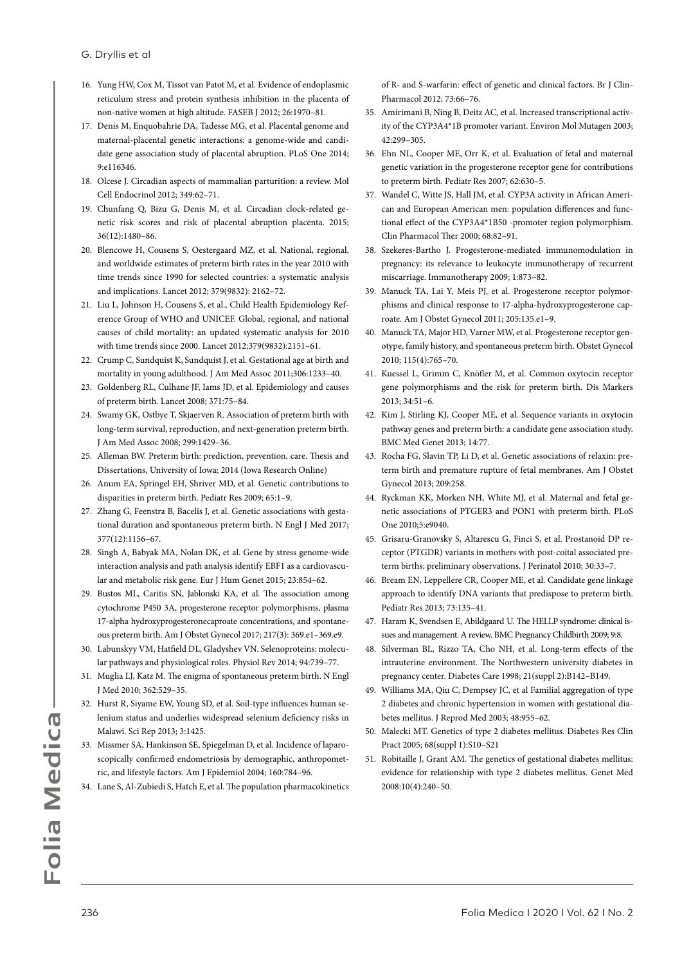- 16. Yung HW, Cox M, Tissot van Patot M, et al. Evidence of endoplasmic reticulum stress and protein synthesis inhibition in the placenta of non-native women at high altitude. FASEB J 2012; 26:1970–81.
- 17. Denis M, Enquobahrie DA, Tadesse MG, et al. Placental genome and maternal-placental genetic interactions: a genome-wide and candidate gene association study of placental abruption. PLoS One 2014; 9:e116346.
- 18. Olcese J. Circadian aspects of mammalian parturition: a review. Mol Cell Endocrinol 2012; 349:62–71.
- 19. Chunfang Q, Bizu G, Denis M, et al. Circadian clock-related genetic risk scores and risk of placental abruption placenta. 2015; 36(12):1480–86.
- 20. Blencowe H, Cousens S, Oestergaard MZ, et al. National, regional, and worldwide estimates of preterm birth rates in the year 2010 with time trends since 1990 for selected countries: a systematic analysis and implications. Lancet 2012; 379(9832): 2162–72.
- 21. Liu L, Johnson H, Cousens S, et al., Child Health Epidemiology Reference Group of WHO and UNICEF. Global, regional, and national causes of child mortality: an updated systematic analysis for 2010 with time trends since 2000. Lancet 2012;379(9832):2151–61.
- 22. Crump C, Sundquist K, Sundquist J, et al. Gestational age at birth and mortality in young adulthood. J Am Med Assoc 2011;306:1233–40.
- 23. Goldenberg RL, Culhane JF, Iams JD, et al. Epidemiology and causes of preterm birth. Lancet 2008; 371:75–84.
- 24. Swamy GK, Ostbye T, Skjaerven R. Association of preterm birth with long-term survival, reproduction, and next-generation preterm birth. J Am Med Assoc 2008; 299:1429–36.
- 25. Alleman BW. Preterm birth: prediction, prevention, care. Thesis and Dissertations, University of Iowa; 2014 (Iowa Research Online)
- 26. Anum EA, Springel EH, Shriver MD, et al. Genetic contributions to disparities in preterm birth. Pediatr Res 2009; 65:1–9.
- 27. Zhang G, Feenstra B, Bacelis J, et al. Genetic associations with gestational duration and spontaneous preterm birth. N Engl J Med 2017; 377(12):1156–67.
- 28. Singh A, Babyak MA, Nolan DK, et al. Gene by stress genome-wide interaction analysis and path analysis identify EBF1 as a cardiovascular and metabolic risk gene. Eur J Hum Genet 2015; 23:854–62.
- 29. Bustos ML, Caritis SN, Jablonski KA, et al. The association among cytochrome P450 3A, progesterone receptor polymorphisms, plasma 17-alpha hydroxyprogesteronecaproate concentrations, and spontaneous preterm birth. Am J Obstet Gynecol 2017; 217(3): 369.e1–369.e9.
- 30. Labunskyy VM, Hatfield DL, Gladyshev VN. Selenoproteins: molecular pathways and physiological roles. Physiol Rev 2014; 94:739–77.
- 31. Muglia LJ, Katz M. The enigma of spontaneous preterm birth. N Engl J Med 2010; 362:529–35.
- 32. Hurst R, Siyame EW, Young SD, et al. Soil-type influences human selenium status and underlies widespread selenium deficiency risks in Malawi. Sci Rep 2013; 3:1425.
- 33. Missmer SA, Hankinson SE, Spiegelman D, et al. Incidence of laparoscopically confirmed endometriosis by demographic, anthropometric, and lifestyle factors. Am J Epidemiol 2004; 160:784–96.
- 34. Lane S, Al-Zubiedi S, Hatch E, et al. The population pharmacokinetics

of R- and S-warfarin: effect of genetic and clinical factors. Br J Clin-Pharmacol 2012; 73:66–76.

- 35. Amirimani B, Ning B, Deitz AC, et al. Increased transcriptional activity of the CYP3A4\*1B promoter variant. Environ Mol Mutagen 2003; 42:299–305.
- 36. Ehn NL, Cooper ME, Orr K, et al. Evaluation of fetal and maternal genetic variation in the progesterone receptor gene for contributions to preterm birth. Pediatr Res 2007; 62:630–5.
- 37. Wandel C, Witte JS, Hall JM, et al. CYP3A activity in African American and European American men: population differences and functional effect of the CYP3A4\*1B50 -promoter region polymorphism. Clin Pharmacol Ther 2000; 68:82–91.
- 38. Szekeres-Bartho J. Progesterone-mediated immunomodulation in pregnancy: its relevance to leukocyte immunotherapy of recurrent miscarriage. Immunotherapy 2009; 1:873–82.
- 39. Manuck TA, Lai Y, Meis PJ, et al. Progesterone receptor polymorphisms and clinical response to 17-alpha-hydroxyprogesterone caproate. Am J Obstet Gynecol 2011; 205:135.e1–9.
- 40. Manuck TA, Major HD, Varner MW, et al. Progesterone receptor genotype, family history, and spontaneous preterm birth. Obstet Gynecol 2010; 115(4):765–70.
- 41. Kuessel L, Grimm C, Knöfler M, et al. Common oxytocin receptor gene polymorphisms and the risk for preterm birth. Dis Markers 2013; 34:51–6.
- 42. Kim J, Stirling KJ, Cooper ME, et al. Sequence variants in oxytocin pathway genes and preterm birth: a candidate gene association study. BMC Med Genet 2013; 14:77.
- 43. Rocha FG, Slavin TP, Li D, et al. Genetic associations of relaxin: preterm birth and premature rupture of fetal membranes. Am J Obstet Gynecol 2013; 209:258.
- 44. Ryckman KK, Morken NH, White MJ, et al. Maternal and fetal genetic associations of PTGER3 and PON1 with preterm birth. PLoS One 2010;5:e9040.
- 45. Grisaru-Granovsky S, Altarescu G, Finci S, et al. Prostanoid DP receptor (PTGDR) variants in mothers with post-coital associated preterm births: preliminary observations. J Perinatol 2010; 30:33–7.
- 46. Bream EN, Leppellere CR, Cooper ME, et al. Candidate gene linkage approach to identify DNA variants that predispose to preterm birth. Pediatr Res 2013; 73:135–41.
- 47. Haram K, Svendsen E, Abildgaard U. The HELLP syndrome: clinical issues and management. A review. BMC Pregnancy Childbirth 2009; 9:8.
- 48. Silverman BL, Rizzo TA, Cho NH, et al. Long-term effects of the intrauterine environment. The Northwestern university diabetes in pregnancy center. Diabetes Care 1998; 21(suppl 2):B142–B149.
- 49. Williams MA, Qiu C, Dempsey JC, et al Familial aggregation of type 2 diabetes and chronic hypertension in women with gestational diabetes mellitus. J Reprod Med 2003; 48:955–62.
- 50. Malecki MT. Genetics of type 2 diabetes mellitus. Diabetes Res Clin Pract 2005; 68(suppl 1):S10–S21
- 51. Robitaille J, Grant AM. The genetics of gestational diabetes mellitus: evidence for relationship with type 2 diabetes mellitus. Genet Med 2008:10(4):240–50.